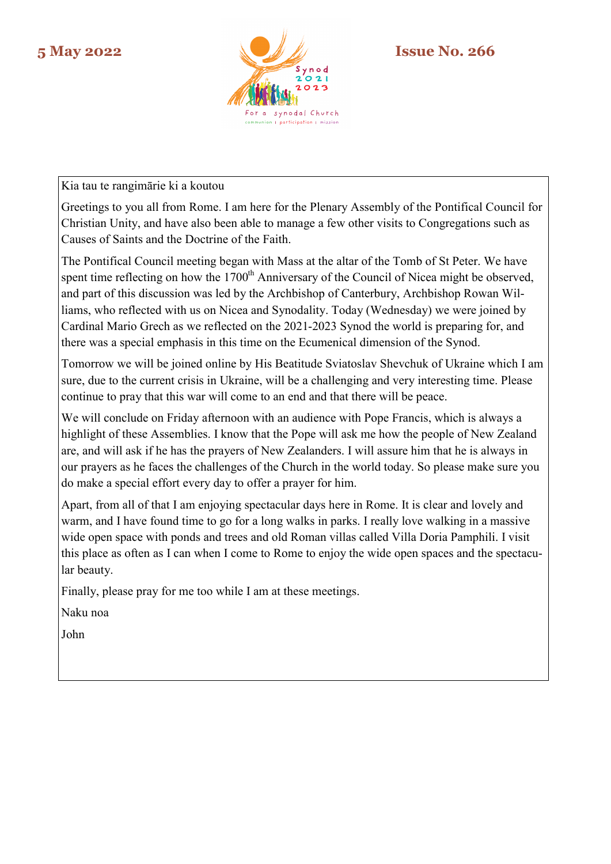

Kia tau te rangimārie ki a koutou

Greetings to you all from Rome. I am here for the Plenary Assembly of the Pontifical Council for Christian Unity, and have also been able to manage a few other visits to Congregations such as Causes of Saints and the Doctrine of the Faith.

The Pontifical Council meeting began with Mass at the altar of the Tomb of St Peter. We have spent time reflecting on how the 1700<sup>th</sup> Anniversary of the Council of Nicea might be observed, and part of this discussion was led by the Archbishop of Canterbury, Archbishop Rowan Williams, who reflected with us on Nicea and Synodality. Today (Wednesday) we were joined by Cardinal Mario Grech as we reflected on the 2021-2023 Synod the world is preparing for, and there was a special emphasis in this time on the Ecumenical dimension of the Synod.

Tomorrow we will be joined online by His Beatitude Sviatoslav Shevchuk of Ukraine which I am sure, due to the current crisis in Ukraine, will be a challenging and very interesting time. Please continue to pray that this war will come to an end and that there will be peace.

We will conclude on Friday afternoon with an audience with Pope Francis, which is always a highlight of these Assemblies. I know that the Pope will ask me how the people of New Zealand are, and will ask if he has the prayers of New Zealanders. I will assure him that he is always in our prayers as he faces the challenges of the Church in the world today. So please make sure you do make a special effort every day to offer a prayer for him.

Apart, from all of that I am enjoying spectacular days here in Rome. It is clear and lovely and warm, and I have found time to go for a long walks in parks. I really love walking in a massive wide open space with ponds and trees and old Roman villas called Villa Doria Pamphili. I visit this place as often as I can when I come to Rome to enjoy the wide open spaces and the spectacular beauty.

Finally, please pray for me too while I am at these meetings.

Naku noa

John